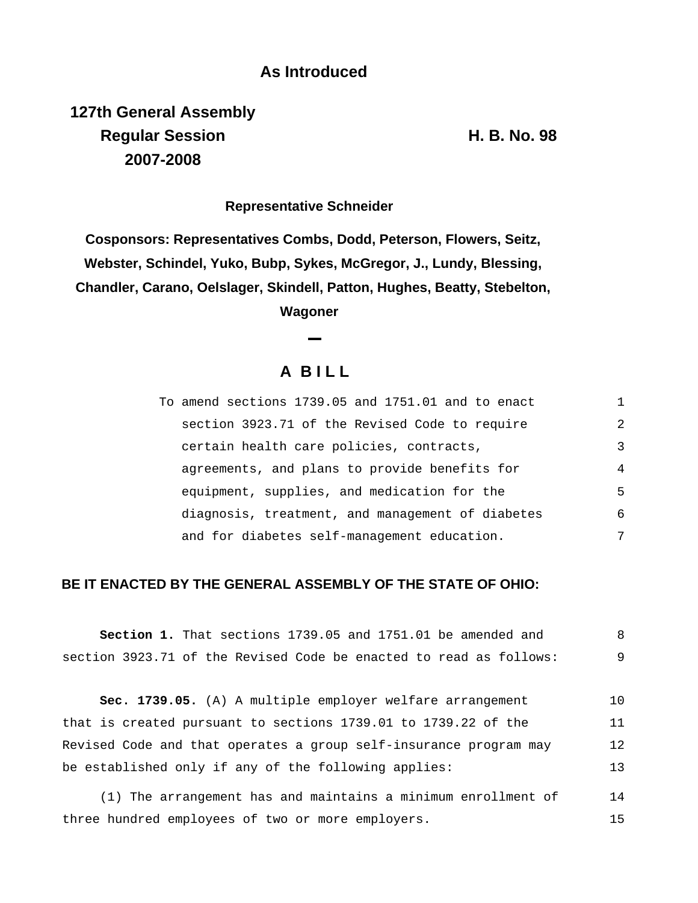## **As Introduced**

**127th General Assembly Regular Session H. B. No. 98 2007-2008**

**Representative Schneider**

**Cosponsors: Representatives Combs, Dodd, Peterson, Flowers, Seitz, Webster, Schindel, Yuko, Bubp, Sykes, McGregor, J., Lundy, Blessing, Chandler, Carano, Oelslager, Skindell, Patton, Hughes, Beatty, Stebelton,**

**Wagoner**

# **A B I L L**

| To amend sections 1739.05 and 1751.01 and to enact |   |
|----------------------------------------------------|---|
| section 3923.71 of the Revised Code to require     | 2 |
| certain health care policies, contracts,           | 3 |
| agreements, and plans to provide benefits for      | 4 |
| equipment, supplies, and medication for the        | 5 |
| diagnosis, treatment, and management of diabetes   | 6 |
| and for diabetes self-management education.        | 7 |

### **BE IT ENACTED BY THE GENERAL ASSEMBLY OF THE STATE OF OHIO:**

|  |  | <b>Section 1.</b> That sections 1739.05 and 1751.01 be amended and |  |  |  |  |
|--|--|--------------------------------------------------------------------|--|--|--|--|
|  |  | section 3923.71 of the Revised Code be enacted to read as follows: |  |  |  |  |

**Sec. 1739.05.** (A) A multiple employer welfare arrangement that is created pursuant to sections 1739.01 to 1739.22 of the Revised Code and that operates a group self-insurance program may be established only if any of the following applies: 10 11 12 13

(1) The arrangement has and maintains a minimum enrollment of three hundred employees of two or more employers. 14 15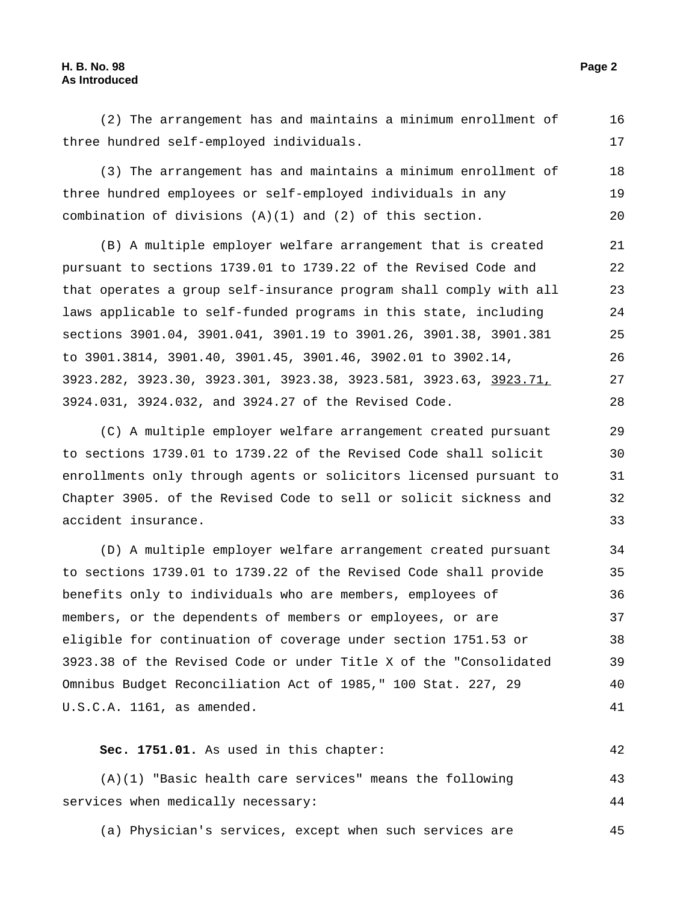#### **H. B. No. 98 Page 2 As Introduced**

29

30 31

32 33

(2) The arrangement has and maintains a minimum enrollment of three hundred self-employed individuals. 16 17

(3) The arrangement has and maintains a minimum enrollment of three hundred employees or self-employed individuals in any combination of divisions  $(A)(1)$  and  $(2)$  of this section. 18 19 20

(B) A multiple employer welfare arrangement that is created pursuant to sections 1739.01 to 1739.22 of the Revised Code and that operates a group self-insurance program shall comply with all laws applicable to self-funded programs in this state, including sections 3901.04, 3901.041, 3901.19 to 3901.26, 3901.38, 3901.381 to 3901.3814, 3901.40, 3901.45, 3901.46, 3902.01 to 3902.14, 3923.282, 3923.30, 3923.301, 3923.38, 3923.581, 3923.63, 3923.71, 3924.031, 3924.032, and 3924.27 of the Revised Code. 21 22 23 24 25 26 27 28

(C) A multiple employer welfare arrangement created pursuant to sections 1739.01 to 1739.22 of the Revised Code shall solicit enrollments only through agents or solicitors licensed pursuant to Chapter 3905. of the Revised Code to sell or solicit sickness and accident insurance.

(D) A multiple employer welfare arrangement created pursuant to sections 1739.01 to 1739.22 of the Revised Code shall provide benefits only to individuals who are members, employees of members, or the dependents of members or employees, or are eligible for continuation of coverage under section 1751.53 or 3923.38 of the Revised Code or under Title X of the "Consolidated Omnibus Budget Reconciliation Act of 1985," 100 Stat. 227, 29 U.S.C.A. 1161, as amended. 34 35 36 37 38 39 40 41

### **Sec. 1751.01.** As used in this chapter: 42

(A)(1) "Basic health care services" means the following services when medically necessary: 43 44

(a) Physician's services, except when such services are 45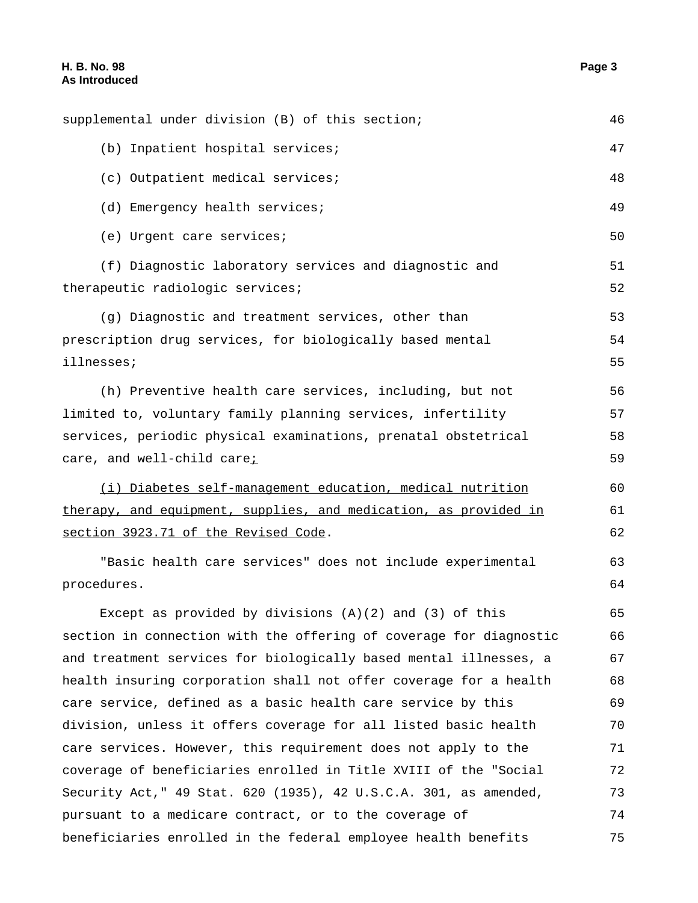| (b) Inpatient hospital services;                                   | 47 |
|--------------------------------------------------------------------|----|
| (c) Outpatient medical services;                                   | 48 |
| (d) Emergency health services;                                     | 49 |
| (e) Urgent care services;                                          | 50 |
| (f) Diagnostic laboratory services and diagnostic and              | 51 |
| therapeutic radiologic services;                                   | 52 |
| (g) Diagnostic and treatment services, other than                  | 53 |
| prescription drug services, for biologically based mental          | 54 |
| illnesses;                                                         | 55 |
| (h) Preventive health care services, including, but not            | 56 |
| limited to, voluntary family planning services, infertility        | 57 |
| services, periodic physical examinations, prenatal obstetrical     | 58 |
| care, and well-child carei                                         | 59 |
| (i) Diabetes self-management education, medical nutrition          | 60 |
| therapy, and equipment, supplies, and medication, as provided in   | 61 |
| section 3923.71 of the Revised Code.                               | 62 |
| "Basic health care services" does not include experimental         | 63 |
| procedures.                                                        | 64 |
| Except as provided by divisions $(A)(2)$ and $(3)$ of this         | 65 |
| section in connection with the offering of coverage for diagnostic | 66 |
| and treatment services for biologically based mental illnesses, a  | 67 |
| health insuring corporation shall not offer coverage for a health  | 68 |
| care service, defined as a basic health care service by this       | 69 |
| division, unless it offers coverage for all listed basic health    | 70 |
| care services. However, this requirement does not apply to the     | 71 |
| coverage of beneficiaries enrolled in Title XVIII of the "Social   | 72 |
| Security Act, "49 Stat. 620 (1935), 42 U.S.C.A. 301, as amended,   | 73 |
| pursuant to a medicare contract, or to the coverage of             | 74 |
| beneficiaries enrolled in the federal employee health benefits     | 75 |

supplemental under division (B) of this section; 46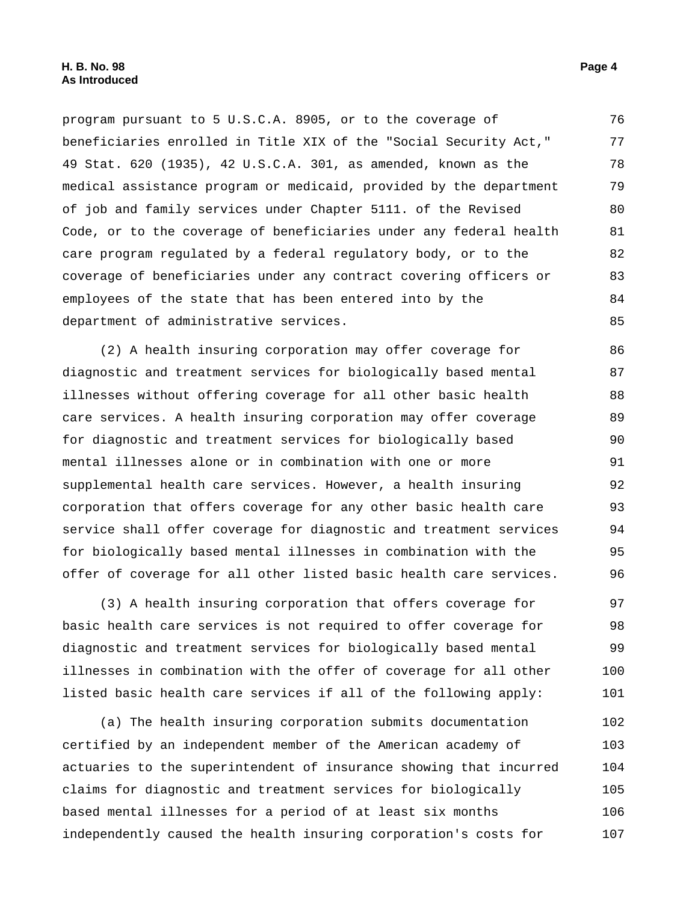program pursuant to 5 U.S.C.A. 8905, or to the coverage of beneficiaries enrolled in Title XIX of the "Social Security Act," 49 Stat. 620 (1935), 42 U.S.C.A. 301, as amended, known as the medical assistance program or medicaid, provided by the department of job and family services under Chapter 5111. of the Revised Code, or to the coverage of beneficiaries under any federal health care program regulated by a federal regulatory body, or to the coverage of beneficiaries under any contract covering officers or employees of the state that has been entered into by the department of administrative services. 76 77 78 79 80 81 82 83 84 85

(2) A health insuring corporation may offer coverage for diagnostic and treatment services for biologically based mental illnesses without offering coverage for all other basic health care services. A health insuring corporation may offer coverage for diagnostic and treatment services for biologically based mental illnesses alone or in combination with one or more supplemental health care services. However, a health insuring corporation that offers coverage for any other basic health care service shall offer coverage for diagnostic and treatment services for biologically based mental illnesses in combination with the offer of coverage for all other listed basic health care services. 86 87 88 89 90 91 92 93 94 95 96

(3) A health insuring corporation that offers coverage for basic health care services is not required to offer coverage for diagnostic and treatment services for biologically based mental illnesses in combination with the offer of coverage for all other listed basic health care services if all of the following apply: 97 98 99 100 101

(a) The health insuring corporation submits documentation certified by an independent member of the American academy of actuaries to the superintendent of insurance showing that incurred claims for diagnostic and treatment services for biologically based mental illnesses for a period of at least six months independently caused the health insuring corporation's costs for 102 103 104 105 106 107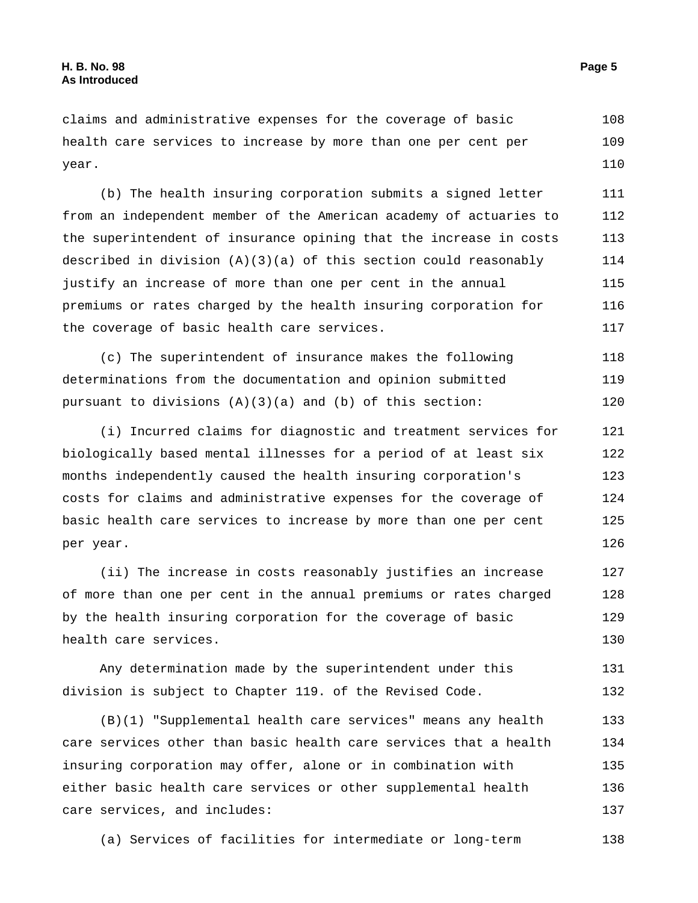claims and administrative expenses for the coverage of basic health care services to increase by more than one per cent per year. 108 109 110

(b) The health insuring corporation submits a signed letter from an independent member of the American academy of actuaries to the superintendent of insurance opining that the increase in costs described in division (A)(3)(a) of this section could reasonably justify an increase of more than one per cent in the annual premiums or rates charged by the health insuring corporation for the coverage of basic health care services. 111 112 113 114 115 116 117

(c) The superintendent of insurance makes the following determinations from the documentation and opinion submitted pursuant to divisions  $(A)(3)(a)$  and  $(b)$  of this section: 118 119 120

(i) Incurred claims for diagnostic and treatment services for biologically based mental illnesses for a period of at least six months independently caused the health insuring corporation's costs for claims and administrative expenses for the coverage of basic health care services to increase by more than one per cent per year. 121 122 123 124 125 126

(ii) The increase in costs reasonably justifies an increase of more than one per cent in the annual premiums or rates charged by the health insuring corporation for the coverage of basic health care services. 127 128 129 130

Any determination made by the superintendent under this division is subject to Chapter 119. of the Revised Code. 131 132

(B)(1) "Supplemental health care services" means any health care services other than basic health care services that a health insuring corporation may offer, alone or in combination with either basic health care services or other supplemental health care services, and includes: 133 134 135 136 137

(a) Services of facilities for intermediate or long-term 138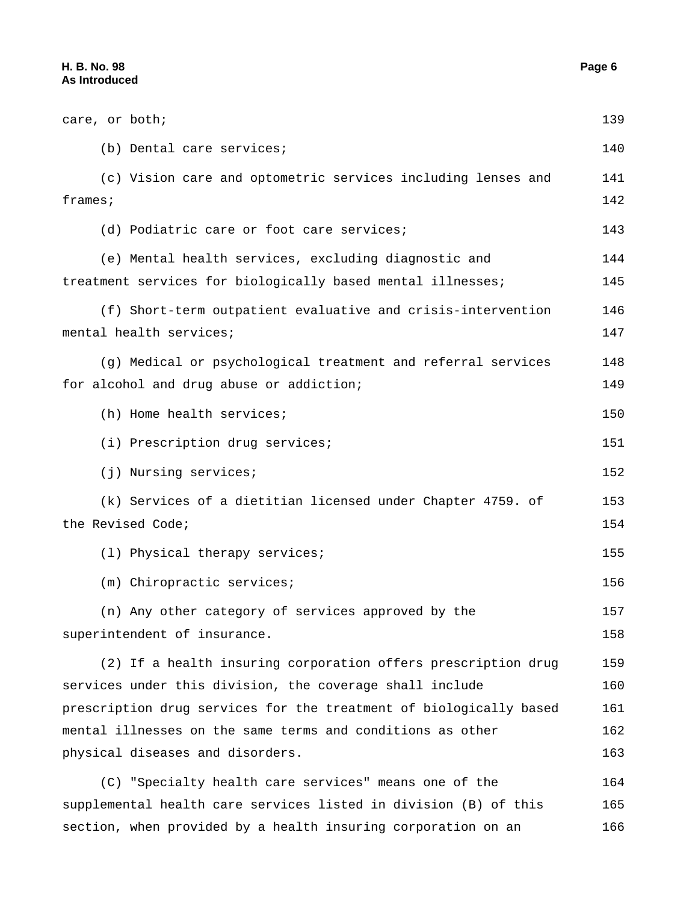| care, or both;                                                     | 139 |
|--------------------------------------------------------------------|-----|
| (b) Dental care services;                                          | 140 |
| (c) Vision care and optometric services including lenses and       | 141 |
| frames:                                                            | 142 |
| (d) Podiatric care or foot care services;                          | 143 |
| (e) Mental health services, excluding diagnostic and               | 144 |
| treatment services for biologically based mental illnesses;        | 145 |
| (f) Short-term outpatient evaluative and crisis-intervention       | 146 |
| mental health services;                                            | 147 |
| (g) Medical or psychological treatment and referral services       | 148 |
| for alcohol and drug abuse or addiction;                           | 149 |
| (h) Home health services;                                          | 150 |
| (i) Prescription drug services;                                    | 151 |
| (j) Nursing services;                                              | 152 |
| (k) Services of a dietitian licensed under Chapter 4759. of        | 153 |
| the Revised Code;                                                  | 154 |
| (1) Physical therapy services;                                     | 155 |
| (m) Chiropractic services;                                         | 156 |
| (n) Any other category of services approved by the                 | 157 |
| superintendent of insurance.                                       | 158 |
| (2) If a health insuring corporation offers prescription drug      | 159 |
| services under this division, the coverage shall include           | 160 |
| prescription drug services for the treatment of biologically based | 161 |
| mental illnesses on the same terms and conditions as other         | 162 |
| physical diseases and disorders.                                   | 163 |
| (C) "Specialty health care services" means one of the              | 164 |
| supplemental health care services listed in division (B) of this   | 165 |
| section, when provided by a health insuring corporation on an      | 166 |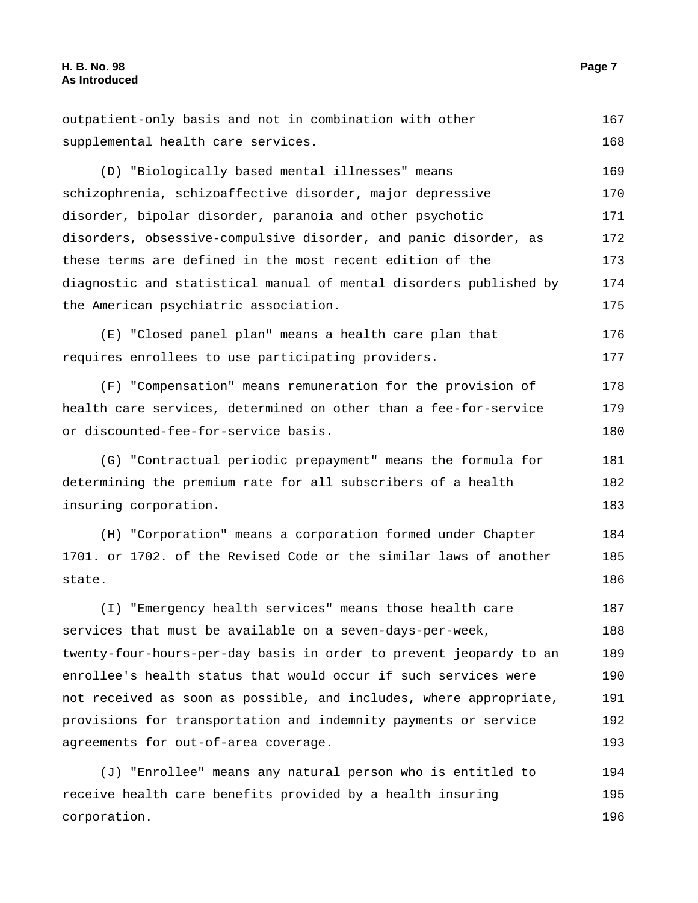state.

| outpatient-only basis and not in combination with other            | 167 |
|--------------------------------------------------------------------|-----|
| supplemental health care services.                                 | 168 |
| (D) "Biologically based mental illnesses" means                    | 169 |
| schizophrenia, schizoaffective disorder, major depressive          | 170 |
| disorder, bipolar disorder, paranoia and other psychotic           | 171 |
| disorders, obsessive-compulsive disorder, and panic disorder, as   | 172 |
| these terms are defined in the most recent edition of the          | 173 |
| diagnostic and statistical manual of mental disorders published by | 174 |
| the American psychiatric association.                              | 175 |
| (E) "Closed panel plan" means a health care plan that              | 176 |
| requires enrollees to use participating providers.                 | 177 |
| (F) "Compensation" means remuneration for the provision of         | 178 |
| health care services, determined on other than a fee-for-service   | 179 |
| or discounted-fee-for-service basis.                               | 180 |
| (G) "Contractual periodic prepayment" means the formula for        | 181 |
| determining the premium rate for all subscribers of a health       | 182 |
| insuring corporation.                                              | 183 |
| (H) "Corporation" means a corporation formed under Chapter         | 184 |
| 1701. or 1702. of the Revised Code or the similar laws of another  | 185 |

(I) "Emergency health services" means those health care services that must be available on a seven-days-per-week, twenty-four-hours-per-day basis in order to prevent jeopardy to an enrollee's health status that would occur if such services were not received as soon as possible, and includes, where appropriate, provisions for transportation and indemnity payments or service agreements for out-of-area coverage. 187 188 189 190 191 192 193

(J) "Enrollee" means any natural person who is entitled to receive health care benefits provided by a health insuring corporation. 194 195 196

186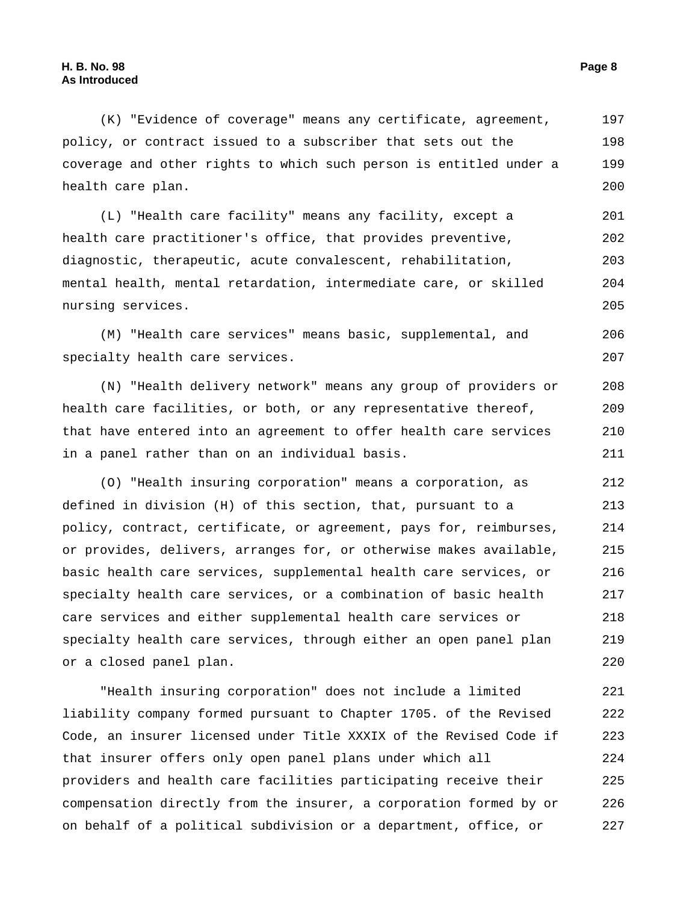(K) "Evidence of coverage" means any certificate, agreement, policy, or contract issued to a subscriber that sets out the coverage and other rights to which such person is entitled under a health care plan. 197 198 199 200

(L) "Health care facility" means any facility, except a health care practitioner's office, that provides preventive, diagnostic, therapeutic, acute convalescent, rehabilitation, mental health, mental retardation, intermediate care, or skilled nursing services. 201 202 203 204 205

(M) "Health care services" means basic, supplemental, and specialty health care services. 206 207

(N) "Health delivery network" means any group of providers or health care facilities, or both, or any representative thereof, that have entered into an agreement to offer health care services in a panel rather than on an individual basis. 208 209 210 211

(O) "Health insuring corporation" means a corporation, as defined in division (H) of this section, that, pursuant to a policy, contract, certificate, or agreement, pays for, reimburses, or provides, delivers, arranges for, or otherwise makes available, basic health care services, supplemental health care services, or specialty health care services, or a combination of basic health care services and either supplemental health care services or specialty health care services, through either an open panel plan or a closed panel plan. 212 213 214 215 216 217 218 219 220

"Health insuring corporation" does not include a limited liability company formed pursuant to Chapter 1705. of the Revised Code, an insurer licensed under Title XXXIX of the Revised Code if that insurer offers only open panel plans under which all providers and health care facilities participating receive their compensation directly from the insurer, a corporation formed by or on behalf of a political subdivision or a department, office, or 221 222 223 224 225 226 227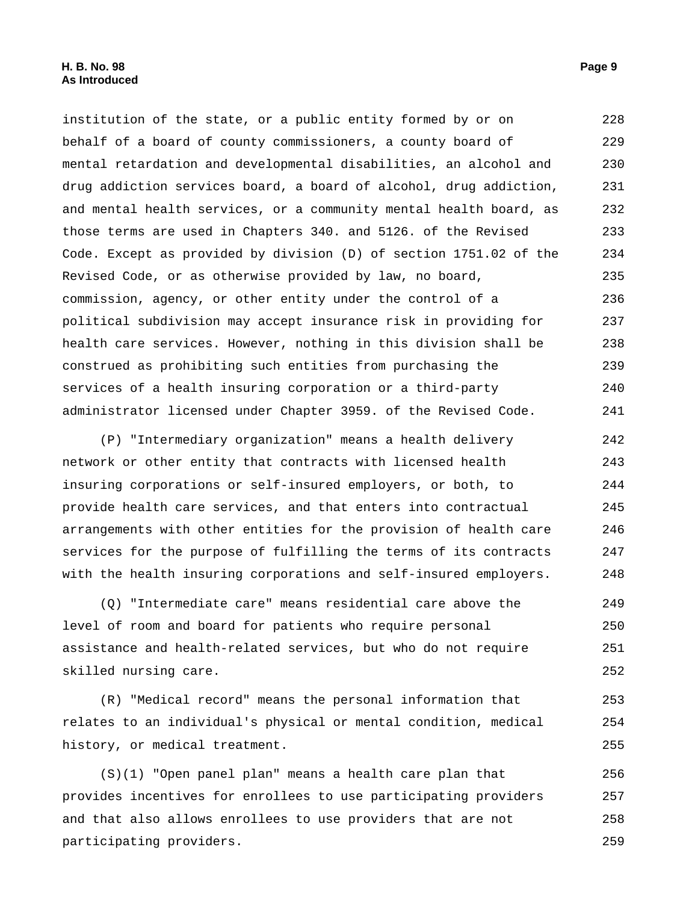institution of the state, or a public entity formed by or on behalf of a board of county commissioners, a county board of mental retardation and developmental disabilities, an alcohol and drug addiction services board, a board of alcohol, drug addiction, and mental health services, or a community mental health board, as those terms are used in Chapters 340. and 5126. of the Revised Code. Except as provided by division (D) of section 1751.02 of the Revised Code, or as otherwise provided by law, no board, commission, agency, or other entity under the control of a political subdivision may accept insurance risk in providing for health care services. However, nothing in this division shall be construed as prohibiting such entities from purchasing the services of a health insuring corporation or a third-party administrator licensed under Chapter 3959. of the Revised Code. 228 229 230 231 232 233 234 235 236 237 238 239 240 241

(P) "Intermediary organization" means a health delivery network or other entity that contracts with licensed health insuring corporations or self-insured employers, or both, to provide health care services, and that enters into contractual arrangements with other entities for the provision of health care services for the purpose of fulfilling the terms of its contracts with the health insuring corporations and self-insured employers. 242 243 244 245 246 247 248

(Q) "Intermediate care" means residential care above the level of room and board for patients who require personal assistance and health-related services, but who do not require skilled nursing care. 249 250 251 252

(R) "Medical record" means the personal information that relates to an individual's physical or mental condition, medical history, or medical treatment. 253 254 255

(S)(1) "Open panel plan" means a health care plan that provides incentives for enrollees to use participating providers and that also allows enrollees to use providers that are not participating providers. 256 257 258 259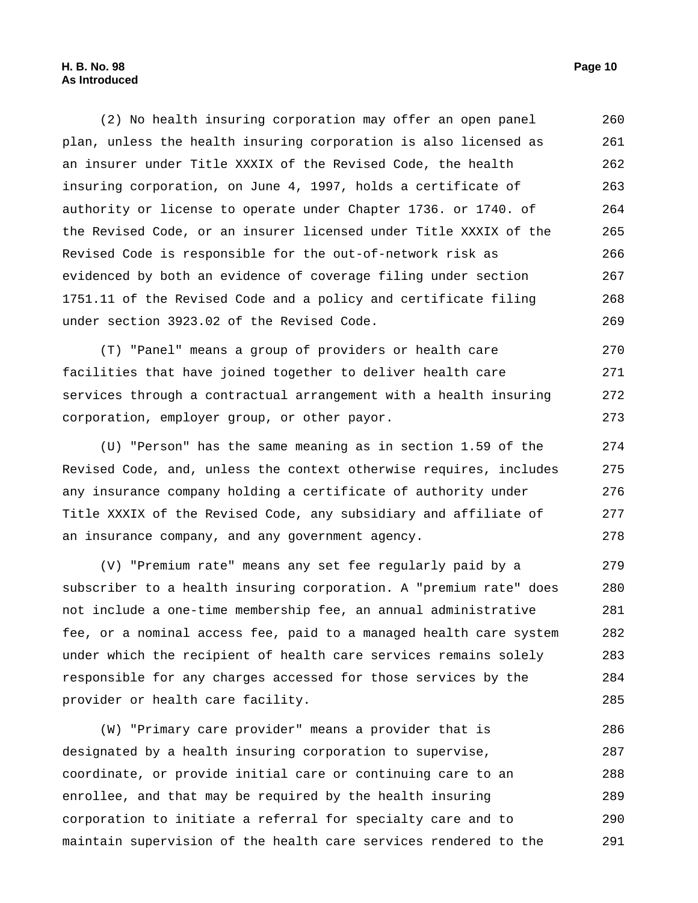#### **H. B. No. 98 Page 10 As Introduced**

(2) No health insuring corporation may offer an open panel plan, unless the health insuring corporation is also licensed as an insurer under Title XXXIX of the Revised Code, the health insuring corporation, on June 4, 1997, holds a certificate of authority or license to operate under Chapter 1736. or 1740. of the Revised Code, or an insurer licensed under Title XXXIX of the Revised Code is responsible for the out-of-network risk as evidenced by both an evidence of coverage filing under section 1751.11 of the Revised Code and a policy and certificate filing under section 3923.02 of the Revised Code. 260 261 262 263 264 265 266 267 268 269

(T) "Panel" means a group of providers or health care facilities that have joined together to deliver health care services through a contractual arrangement with a health insuring corporation, employer group, or other payor. 270 271 272 273

(U) "Person" has the same meaning as in section 1.59 of the Revised Code, and, unless the context otherwise requires, includes any insurance company holding a certificate of authority under Title XXXIX of the Revised Code, any subsidiary and affiliate of an insurance company, and any government agency. 274 275 276 277 278

(V) "Premium rate" means any set fee regularly paid by a subscriber to a health insuring corporation. A "premium rate" does not include a one-time membership fee, an annual administrative fee, or a nominal access fee, paid to a managed health care system under which the recipient of health care services remains solely responsible for any charges accessed for those services by the provider or health care facility. 279 280 281 282 283 284 285

(W) "Primary care provider" means a provider that is designated by a health insuring corporation to supervise, coordinate, or provide initial care or continuing care to an enrollee, and that may be required by the health insuring corporation to initiate a referral for specialty care and to maintain supervision of the health care services rendered to the 286 287 288 289 290 291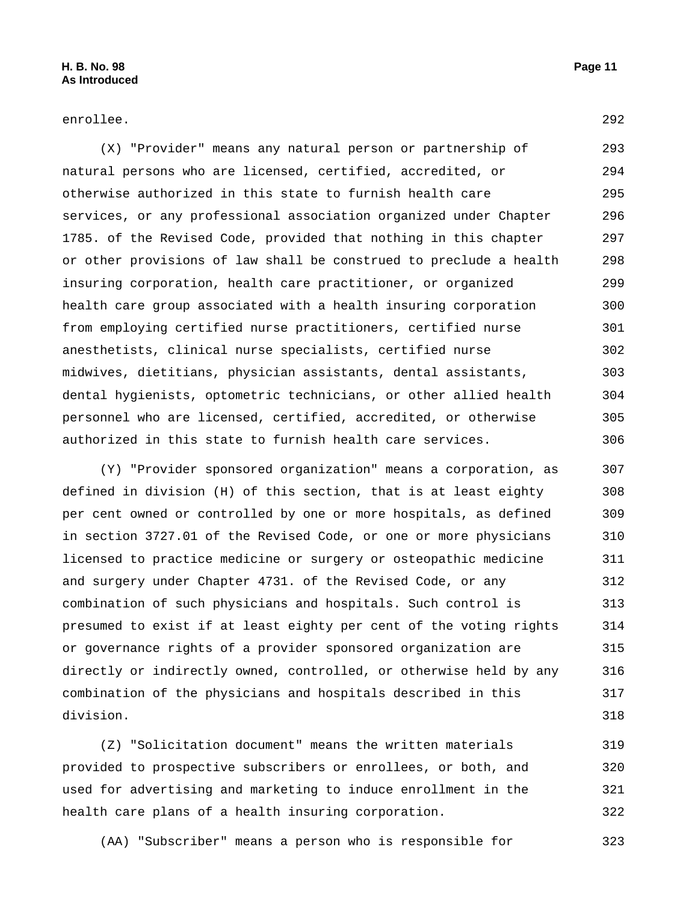enrollee. 292

(X) "Provider" means any natural person or partnership of natural persons who are licensed, certified, accredited, or otherwise authorized in this state to furnish health care services, or any professional association organized under Chapter 1785. of the Revised Code, provided that nothing in this chapter or other provisions of law shall be construed to preclude a health insuring corporation, health care practitioner, or organized health care group associated with a health insuring corporation from employing certified nurse practitioners, certified nurse anesthetists, clinical nurse specialists, certified nurse midwives, dietitians, physician assistants, dental assistants, dental hygienists, optometric technicians, or other allied health personnel who are licensed, certified, accredited, or otherwise authorized in this state to furnish health care services. 293 294 295 296 297 298 299 300 301 302 303 304 305 306

(Y) "Provider sponsored organization" means a corporation, as defined in division (H) of this section, that is at least eighty per cent owned or controlled by one or more hospitals, as defined in section 3727.01 of the Revised Code, or one or more physicians licensed to practice medicine or surgery or osteopathic medicine and surgery under Chapter 4731. of the Revised Code, or any combination of such physicians and hospitals. Such control is presumed to exist if at least eighty per cent of the voting rights or governance rights of a provider sponsored organization are directly or indirectly owned, controlled, or otherwise held by any combination of the physicians and hospitals described in this division. 307 308 309 310 311 312 313 314 315 316 317 318

(Z) "Solicitation document" means the written materials provided to prospective subscribers or enrollees, or both, and used for advertising and marketing to induce enrollment in the health care plans of a health insuring corporation. 319 320 321 322

(AA) "Subscriber" means a person who is responsible for 323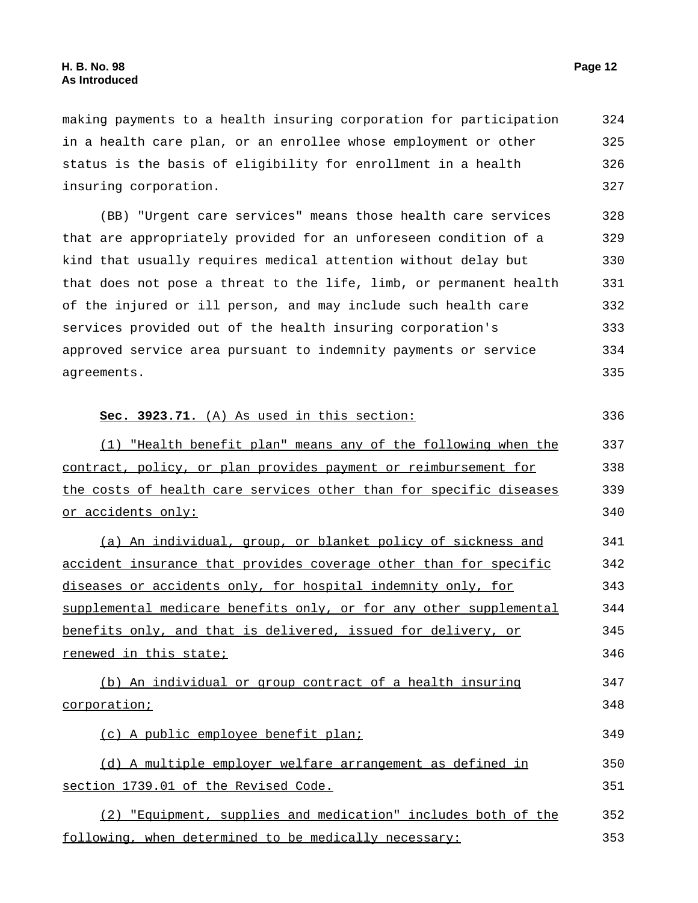353

| making payments to a health insuring corporation for participation | 324 |
|--------------------------------------------------------------------|-----|
| in a health care plan, or an enrollee whose employment or other    | 325 |
| status is the basis of eligibility for enrollment in a health      | 326 |
| insuring corporation.                                              | 327 |
| (BB) "Urgent care services" means those health care services       | 328 |
| that are appropriately provided for an unforeseen condition of a   | 329 |
| kind that usually requires medical attention without delay but     | 330 |
| that does not pose a threat to the life, limb, or permanent health | 331 |
| of the injured or ill person, and may include such health care     | 332 |
| services provided out of the health insuring corporation's         | 333 |
| approved service area pursuant to indemnity payments or service    | 334 |
| agreements.                                                        | 335 |
| Sec. 3923.71. (A) As used in this section:                         | 336 |
| (1) "Health benefit plan" means any of the following when the      | 337 |
| contract, policy, or plan provides payment or reimbursement for    | 338 |
| the costs of health care services other than for specific diseases | 339 |
| <u>or accidents only:</u>                                          | 340 |
| (a) An individual, group, or blanket policy of sickness and        | 341 |
| accident insurance that provides coverage other than for specific  | 342 |
| diseases or accidents only, for hospital indemnity only, for       | 343 |
| supplemental medicare benefits only, or for any other supplemental | 344 |
| benefits only, and that is delivered, issued for delivery, or      | 345 |
| renewed in this state;                                             | 346 |
| (b) An individual or group contract of a health insuring           | 347 |
| <u>corporation;</u>                                                | 348 |
| (c) A public employee benefit plan;                                | 349 |
| (d) A multiple employer welfare arrangement as defined in          | 350 |
| section 1739.01 of the Revised Code.                               | 351 |
| (2) "Equipment, supplies and medication" includes both of the      | 352 |

following, when determined to be medically necessary: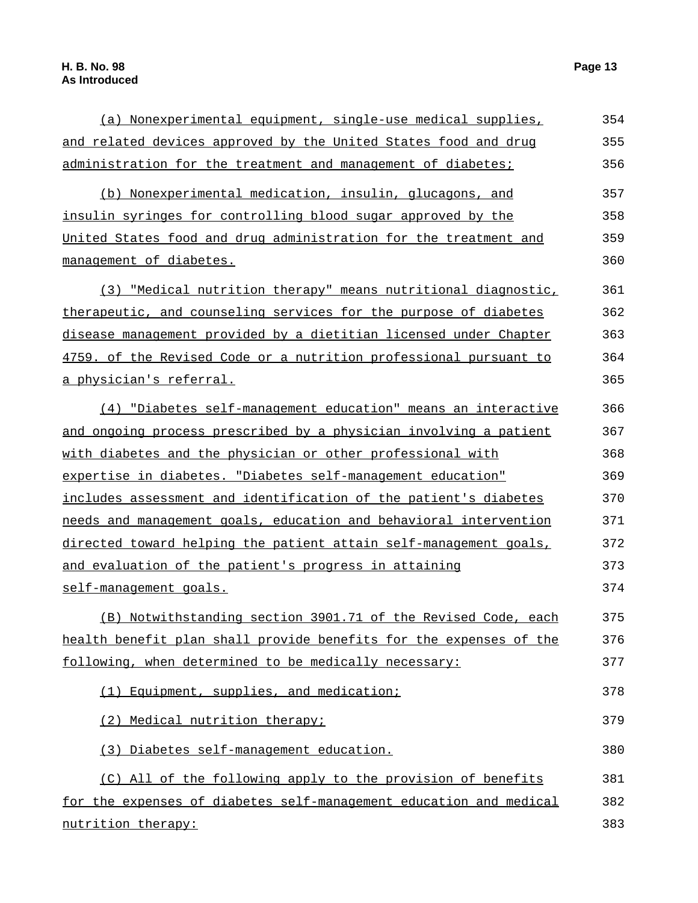| (a) Nonexperimental equipment, single-use medical supplies,        | 354 |
|--------------------------------------------------------------------|-----|
| and related devices approved by the United States food and drug    | 355 |
| administration for the treatment and management of diabetes;       | 356 |
| (b) Nonexperimental medication, insulin, glucagons, and            | 357 |
| insulin syringes for controlling blood sugar approved by the       | 358 |
| United States food and drug administration for the treatment and   | 359 |
| management of diabetes.                                            | 360 |
| (3) "Medical nutrition therapy" means nutritional diagnostic,      | 361 |
| therapeutic, and counseling services for the purpose of diabetes   | 362 |
| disease management provided by a dietitian licensed under Chapter  | 363 |
| 4759. of the Revised Code or a nutrition professional pursuant to  | 364 |
| <u>a physician's referral.</u>                                     | 365 |
| (4) "Diabetes self-management education" means an interactive      | 366 |
| and ongoing process prescribed by a physician involving a patient  | 367 |
| with diabetes and the physician or other professional with         | 368 |
| expertise in diabetes. "Diabetes self-management education"        | 369 |
| includes assessment and identification of the patient's diabetes   | 370 |
| needs and management goals, education and behavioral intervention  | 371 |
| directed toward helping the patient attain self-management goals,  | 372 |
| and evaluation of the patient's progress in attaining              | 373 |
| self-management goals.                                             | 374 |
| (B) Notwithstanding section 3901.71 of the Revised Code, each      | 375 |
| health benefit plan shall provide benefits for the expenses of the | 376 |
| following, when determined to be medically necessary:              | 377 |
| Equipment, supplies, and medication;<br>(1)                        | 378 |
| Medical nutrition therapy;<br>(2)                                  | 379 |
| (3) Diabetes self-management education.                            | 380 |
| (C) All of the following apply to the provision of benefits        | 381 |
| for the expenses of diabetes self-management education and medical | 382 |
| nutrition therapy:                                                 | 383 |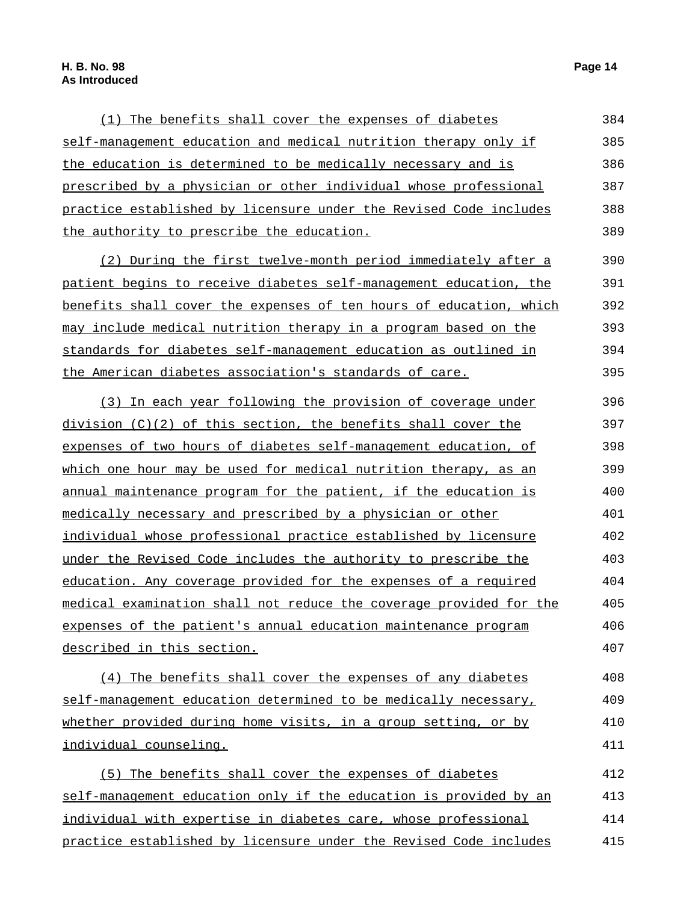415

| (1) The benefits shall cover the expenses of diabetes              | 384 |
|--------------------------------------------------------------------|-----|
| self-management education and medical nutrition therapy only if    | 385 |
| the education is determined to be medically necessary and is       | 386 |
| prescribed by a physician or other individual whose professional   | 387 |
| practice established by licensure under the Revised Code includes  | 388 |
| the authority to prescribe the education.                          | 389 |
| (2) During the first twelve-month period immediately after a       | 390 |
| patient begins to receive diabetes self-management education, the  | 391 |
| benefits shall cover the expenses of ten hours of education, which | 392 |
| may include medical nutrition therapy in a program based on the    | 393 |
| standards for diabetes self-management education as outlined in    | 394 |
| the American diabetes association's standards of care.             | 395 |
| (3) In each year following the provision of coverage under         | 396 |
| division $(C)(2)$ of this section, the benefits shall cover the    | 397 |
| expenses of two hours of diabetes self-management education, of    | 398 |
| which one hour may be used for medical nutrition therapy, as an    | 399 |
| annual maintenance program for the patient, if the education is    | 400 |
| medically necessary and prescribed by a physician or other         | 401 |
| individual whose professional practice established by licensure    | 402 |
| under the Revised Code includes the authority to prescribe the     | 403 |
| education. Any coverage provided for the expenses of a required    | 404 |
| medical examination shall not reduce the coverage provided for the | 405 |
| expenses of the patient's annual education maintenance program     | 406 |
| described in this section.                                         | 407 |
| (4) The benefits shall cover the expenses of any diabetes          | 408 |
| self-management education determined to be medically necessary,    | 409 |
| whether provided during home visits, in a group setting, or by     | 410 |
| individual counseling.                                             | 411 |
| The benefits shall cover the expenses of diabetes<br>(5)           | 412 |
| self-management education only if the education is provided by an  | 413 |
| individual with expertise in diabetes care, whose professional     | 414 |

practice established by licensure under the Revised Code includes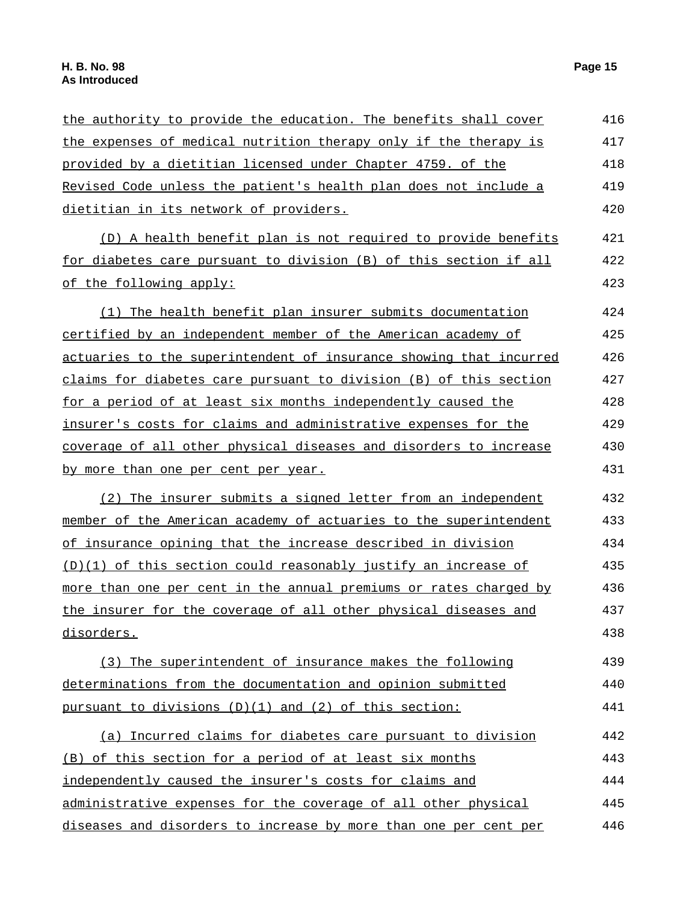| the authority to provide the education. The benefits shall cover    | 416 |
|---------------------------------------------------------------------|-----|
| the expenses of medical nutrition therapy only if the therapy is    | 417 |
| provided by a dietitian licensed under Chapter 4759. of the         | 418 |
| Revised Code unless the patient's health plan does not include a    | 419 |
| dietitian in its network of providers.                              | 420 |
| (D) A health benefit plan is not required to provide benefits       | 421 |
| for diabetes care pursuant to division (B) of this section if all   | 422 |
| of the following apply:                                             | 423 |
| (1) The health benefit plan insurer submits documentation           | 424 |
| certified by an independent member of the American academy of       | 425 |
| actuaries to the superintendent of insurance showing that incurred  | 426 |
| claims for diabetes care pursuant to division (B) of this section   | 427 |
| for a period of at least six months independently caused the        | 428 |
| insurer's costs for claims and administrative expenses for the      | 429 |
| coverage of all other physical diseases and disorders to increase   | 430 |
| <u>by more than one per cent per year.</u>                          | 431 |
| (2) The insurer submits a signed letter from an independent         | 432 |
| member of the American academy of actuaries to the superintendent   | 433 |
| <u>of insurance opining that the increase described in division</u> | 434 |
| (D)(1) of this section could reasonably justify an increase of      | 435 |
| more than one per cent in the annual premiums or rates charged by   | 436 |
| the insurer for the coverage of all other physical diseases and     | 437 |
| disorders.                                                          | 438 |
| (3) The superintendent of insurance makes the following             | 439 |
| determinations from the documentation and opinion submitted         | 440 |
| pursuant to divisions $(D)(1)$ and $(2)$ of this section:           | 441 |
| (a) Incurred claims for diabetes care pursuant to division          | 442 |
| (B) of this section for a period of at least six months             | 443 |
| independently caused the insurer's costs for claims and             | 444 |
| administrative expenses for the coverage of all other physical      | 445 |
| diseases and disorders to increase by more than one per cent per    | 446 |